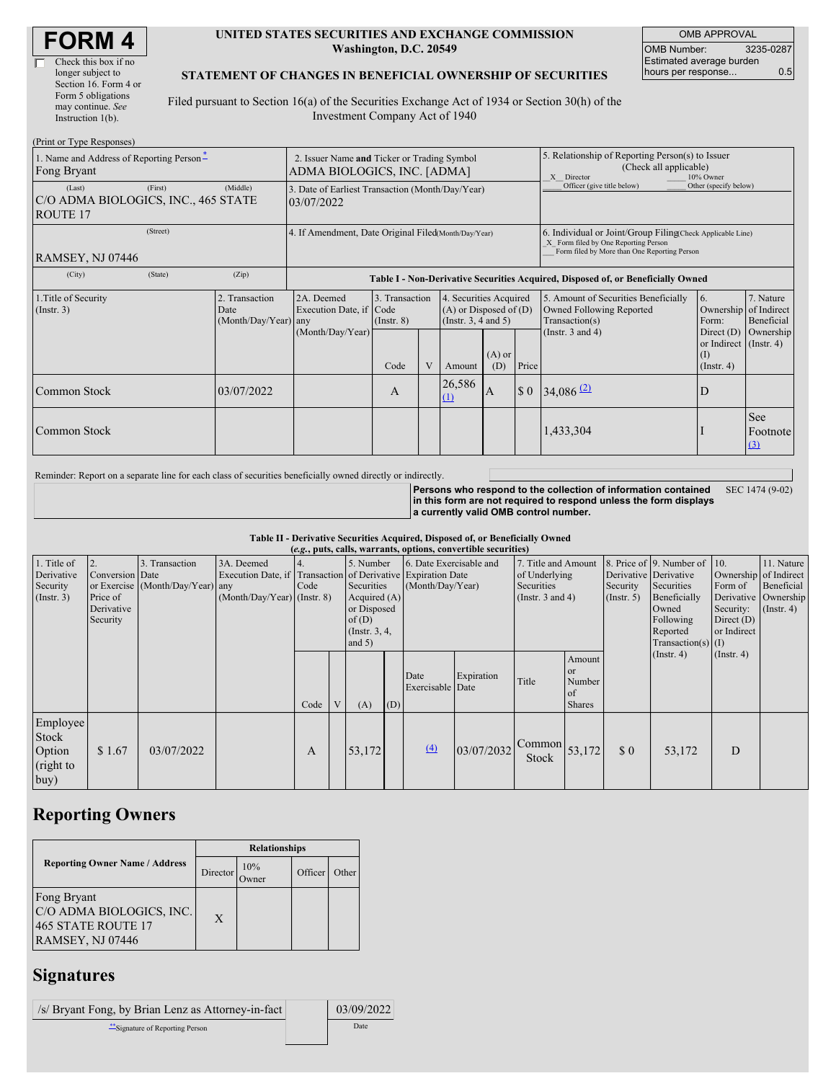| <b>FORM4</b> |
|--------------|
|--------------|

#### **UNITED STATES SECURITIES AND EXCHANGE COMMISSION Washington, D.C. 20549**

OMB APPROVAL OMB Number: 3235-0287 Estimated average burden hours per response... 0.5

#### **STATEMENT OF CHANGES IN BENEFICIAL OWNERSHIP OF SECURITIES**

Filed pursuant to Section 16(a) of the Securities Exchange Act of 1934 or Section 30(h) of the Investment Company Act of 1940

| (Print or Type Responses)                                        |                                                                |                                                      |                                                                                  |                                   |  |                                                                                  |                                                                                                                                                    |                                                                                                       |                                                                                    |                                                                          |                         |
|------------------------------------------------------------------|----------------------------------------------------------------|------------------------------------------------------|----------------------------------------------------------------------------------|-----------------------------------|--|----------------------------------------------------------------------------------|----------------------------------------------------------------------------------------------------------------------------------------------------|-------------------------------------------------------------------------------------------------------|------------------------------------------------------------------------------------|--------------------------------------------------------------------------|-------------------------|
| 1. Name and Address of Reporting Person-<br>Fong Bryant          |                                                                |                                                      | 2. Issuer Name and Ticker or Trading Symbol<br>ADMA BIOLOGICS, INC. [ADMA]       |                                   |  |                                                                                  |                                                                                                                                                    | 5. Relationship of Reporting Person(s) to Issuer<br>(Check all applicable)<br>X Director<br>10% Owner |                                                                                    |                                                                          |                         |
| (Last)<br>C/O ADMA BIOLOGICS, INC., 465 STATE<br><b>ROUTE 17</b> | 3. Date of Earliest Transaction (Month/Day/Year)<br>03/07/2022 |                                                      |                                                                                  |                                   |  | Officer (give title below)                                                       | Other (specify below)                                                                                                                              |                                                                                                       |                                                                                    |                                                                          |                         |
| RAMSEY, NJ 07446                                                 |                                                                | 4. If Amendment, Date Original Filed(Month/Day/Year) |                                                                                  |                                   |  |                                                                                  | 6. Individual or Joint/Group Filing Check Applicable Line)<br>X Form filed by One Reporting Person<br>Form filed by More than One Reporting Person |                                                                                                       |                                                                                    |                                                                          |                         |
| (City)                                                           | (State)                                                        | (Zip)                                                | Table I - Non-Derivative Securities Acquired, Disposed of, or Beneficially Owned |                                   |  |                                                                                  |                                                                                                                                                    |                                                                                                       |                                                                                    |                                                                          |                         |
| 1. Title of Security<br>(Insert. 3)<br>Date                      |                                                                | 2. Transaction<br>(Month/Day/Year) any               | 2A. Deemed<br>Execution Date, if Code                                            | 3. Transaction<br>$($ Instr. $8)$ |  | 4. Securities Acquired<br>$(A)$ or Disposed of $(D)$<br>(Instr. $3, 4$ and $5$ ) |                                                                                                                                                    |                                                                                                       | 5. Amount of Securities Beneficially<br>Owned Following Reported<br>Transaction(s) | 6.<br>Ownership of Indirect<br>Form:                                     | 7. Nature<br>Beneficial |
|                                                                  |                                                                |                                                      | (Month/Day/Year)                                                                 | Code                              |  | Amount                                                                           | $(A)$ or<br>(D)                                                                                                                                    | Price                                                                                                 | (Instr. $3$ and $4$ )                                                              | Direct (D)<br>or Indirect $($ Instr. 4 $)$<br>$($ I)<br>$($ Instr. 4 $)$ | Ownership               |
| Common Stock                                                     |                                                                | 03/07/2022                                           |                                                                                  | A                                 |  | 26,586<br>$\Omega$                                                               | A                                                                                                                                                  | $\boldsymbol{\mathsf{S}}$ 0                                                                           | 34,086 $(2)$                                                                       | D                                                                        |                         |
| Common Stock                                                     |                                                                |                                                      |                                                                                  |                                   |  |                                                                                  |                                                                                                                                                    |                                                                                                       | 1,433,304                                                                          |                                                                          | See<br>Footnote<br>(3)  |

Reminder: Report on a separate line for each class of securities beneficially owned directly or indirectly.

**Persons who respond to the collection of information contained in this form are not required to respond unless the form displays a currently valid OMB control number.** SEC 1474 (9-02)

**Table II - Derivative Securities Acquired, Disposed of, or Beneficially Owned**

|                                                           | (e.g., puts, calls, warrants, options, convertible securities) |                                                    |                                           |      |                |                                                                                                                                                                                      |     |                          |                         |                                                                             |                                                             |                                                  |                                                                                                                  |                                                                                |                                                                             |
|-----------------------------------------------------------|----------------------------------------------------------------|----------------------------------------------------|-------------------------------------------|------|----------------|--------------------------------------------------------------------------------------------------------------------------------------------------------------------------------------|-----|--------------------------|-------------------------|-----------------------------------------------------------------------------|-------------------------------------------------------------|--------------------------------------------------|------------------------------------------------------------------------------------------------------------------|--------------------------------------------------------------------------------|-----------------------------------------------------------------------------|
| 1. Title of<br>Derivative<br>Security<br>$($ Instr. 3 $)$ | 2.<br>Conversion Date<br>Price of<br>Derivative<br>Security    | 3. Transaction<br>or Exercise (Month/Day/Year) any | 3A. Deemed<br>(Month/Day/Year) (Instr. 8) | Code |                | 5. Number<br>Execution Date, if Transaction of Derivative Expiration Date<br>(Month/Day/Year)<br>Securities<br>Acquired $(A)$<br>or Disposed<br>of(D)<br>(Instr. $3, 4,$<br>and $5)$ |     |                          | 6. Date Exercisable and | 7. Title and Amount<br>of Underlying<br>Securities<br>(Instr. $3$ and $4$ ) |                                                             | Derivative Derivative<br>Security<br>(Insert. 5) | 8. Price of 9. Number of<br>Securities<br>Beneficially<br>Owned<br>Following<br>Reported<br>$Transaction(s)$ (I) | 10.<br>Form of<br>Security: $(\text{Instr. 4})$<br>Direct $(D)$<br>or Indirect | 11. Nature<br>Ownership of Indirect<br>Beneficial<br>Derivative   Ownership |
|                                                           |                                                                |                                                    |                                           | Code | $\overline{V}$ | (A)                                                                                                                                                                                  | (D) | Date<br>Exercisable Date | Expiration              | Title                                                                       | Amount<br><b>or</b><br>Number<br><b>of</b><br><b>Shares</b> |                                                  | $($ Instr. 4 $)$                                                                                                 | $($ Instr. 4 $)$                                                               |                                                                             |
| Employee<br>Stock<br>Option<br>(right to<br>buy)          | \$1.67                                                         | 03/07/2022                                         |                                           | A    |                | 53,172                                                                                                                                                                               |     | (4)                      | 03/07/2032              | $\sqrt{\text{Common}}$ 53,172<br>Stock                                      |                                                             | $\Omega$                                         | 53,172                                                                                                           | D                                                                              |                                                                             |

# **Reporting Owners**

|                                                                                          | <b>Relationships</b> |                     |         |       |  |  |  |
|------------------------------------------------------------------------------------------|----------------------|---------------------|---------|-------|--|--|--|
| <b>Reporting Owner Name / Address</b>                                                    | Director             | 10%<br><b>Twner</b> | Officer | Other |  |  |  |
| Fong Bryant<br>C/O ADMA BIOLOGICS, INC.<br>465 STATE ROUTE 17<br><b>RAMSEY, NJ 07446</b> | X                    |                     |         |       |  |  |  |

# **Signatures**

 $\sqrt{s}$  Bryant Fong, by Brian Lenz as Attorney-in-fact 03/09/2022 \*\*Signature of Reporting Person Date